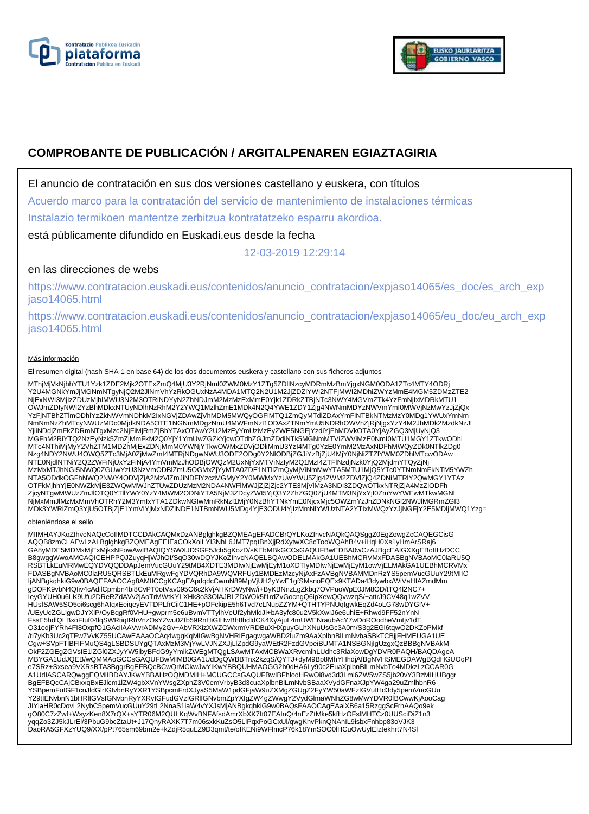



# **COMPROBANTE DE PUBLICACIÓN / ARGITALPENAREN EGIAZTAGIRIA**

El anuncio de contratación en sus dos versiones castellano y euskera, con títulos

Acuerdo marco para la contratación del servicio de mantenimiento de instalaciones térmicas

Instalazio termikoen mantentze zerbitzua kontratatzeko esparru akordioa.

está públicamente difundido en Euskadi.eus desde la fecha

12-03-2019 12:29:14

## en las direcciones de webs

https://www.contratacion.euskadi.eus/contenidos/anuncio\_contratacion/expjaso14065/es\_doc/es\_arch\_exp jaso14065.html

https://www.contratacion.euskadi.eus/contenidos/anuncio\_contratacion/expjaso14065/eu\_doc/eu\_arch\_exp jaso14065.html

#### Más información

El resumen digital (hash SHA-1 en base 64) de los dos documentos euskera y castellano con sus ficheros adjuntos

MThjMjVkNjhhYTU1Yzk1ZDE2Mjk2OTExZmQ4MjU3Y2RjNmI0ZWM0MzY1ZTg5ZDllNzcyMDRmMzBmYjgxNGM0ODA1ZTc4MTY4ODRj<br>Y2U4MGNkYmJjMGNmNTgyNjQ2M2JlNmVhYzRkOGUxNzA4MDA1MTQ2N2U1M2JjZDZlYWI2NTFjMWI2MDhiZWYzMmE4MGM5ZDMzZTE2 NjExNWI3MjIzZDUzMjhlMWU3N2M3OTRiNDYyN2ZhNDJmM2MzMzExMmE0Yjk1ZDRkZTBjNTc3NWY4MGVmZTk4YzFmNjIxMDRkMTU1<br>OWJmZDIyNWI2YzBhMDkxNTUyNDlhNzRhM2Y2YWQ1MzlhZmE1MDk4N2Q4YWE1ZDY1Zjg4NWNmMDYzNWVmYmI0MWVjNzMwYzJjZjQx YzFjNTBhZTlmODhlYzZkNWVmNDhkM2IxNGVjZDAwZjVhMDM5MWQyOGFiMTQ1ZmQyMTdlZDAxYmFlNTBkNTMzMzY0MDg1YWUxYmNm NmNmNzZhMTcyNWUzMDc0MjdkNDA5OTE1NGNmMDgzNmU4MWFmNzI1ODAxZTNmYmU5NDRhOWVhZjRjNjgxYzY4M2JhMDk2MzdkNzJl YjliNDdjZmFkZDRmNTgxMzc2NjFiMjRmZjBhYTAxOTAwY2U2MzEyYmUzMzEyZWE5NGFjYzdiYjFhMDVkOTA0YjAyZGQ3MjUyNjQ3 MGFhM2RiYTQ2NzEyNzk5ZmZjMmFkM2Q0YjY1YmUwZGZkYjcwOTdhZGJmZDdiNTk5MGNmMTViZWViMzE0NmI0MTU1MGY1ZTkwODhi MTc4NThiMjMyY2VhZTM1MDZhMjExZDNjMmM0YWNjYTkwOWMxZDVjODliMmU3YzI4MTg0YzE0YmM2MzAxNDFhMWQyZDk0NTlkZDg0<br>Nzg4NDY2NWU4OWQ5ZTc3MjA0ZjMwZmI4MTRjNDgwNWU3ODE2ODg0Y2NIODBjZGJiYzBjZjU4MjY0NjNiZTZIYWM0ZDhlMTcwODAw<br>NTE0NjdlNTNiY2Q2ZWFi MzMxMTJhNGI5NWQ0ZGUwYzU3NzVmODBlZmU5OGMxZjYyMTA0ZDE1NTliZmQyMjViNmMwYTA5MTU1MjQ5YTc0YTNmNmFkNTM5YWZh NTA5ODdkOGFhNWQ2NWY4ODVjZjA2MzVlZmJiNDFlYzczMGMyY2Y0MWMxYzUwYWU5Zjg4ZWM2ZDVlZjQ4ZDNiMTRIY2QwMGY1YTAz<br>OTFkMjhhYjE0NWZkMjE3ZWQwMWJhZTUwZDUzMzM2NDA4NWFlMWJjZjZjcjc2YTE3MjVlMzA3NDI3ZDQwOTkxNTRjZjA4MzZlODFh ZjcyNTgwMWUzZmJlOTQ0YTllYWY0YzY4MWM2ODNiYTA5NjM3ZDcyZWI5YjQ3Y2ZhZGQ0ZjU4MTM3NjYxYjI0ZmYwYWEwMTkwMGNl NjMxMmJlMzMxMmVhOTRhY2M3YmIxYTA1ZDkwNGIwMmRkNzI1MjY0NzBhYTNkYmE0NjcxMjc5OWZmYzJhZDNkNGI2NWJlMGRmZGI3 MDk3YWRiZmQ3YjU5OTBjZjE1YmVlYjMxNDZiNDE1NTBmNWU5MDg4YjE3ODU4YjIzMmNlYWUzNTA2YTIxMWQzYzJjNGFjY2E5MDljMWQ1Yzg=

#### obteniéndose el sello

MIIMHAYJKoZIhvcNAQcCoIIMDTCCDAkCAQMxDzANBglghkgBZQMEAgEFADCBrQYLKoZIhvcNAQkQAQSggZ0EgZowgZcCAQEGCisG<br>AQQB8zmCLAEwLzALBglghkgBZQMEAgEEIEaCOkXoiLYI3NhL6JMT7pqtBnXjjRdXytwXC8cTooWQAhB4v+iHqH0Xs1yHmArSRaj6 GA8yMDE5MDMxMjExMjkxNFowAwIBAQIQYSWXJDSGF5Jch5gKozD/sKEbMBkGCCsGAQUFBwEDBA0wCzAJBgcEAIGXXgEBoIIHzDCC<br>B8gwggWwoAMCAQICEHPPQJZuyqHjWJhOI/SqO30wDQYJKoZIhvcNAQELBQAwODELMAkGA1UEBhMCRVMxFDASBgNVBAoMC0laRU5Q RSBTLkEuMRMwEQYDVQQDDApJemVucGUuY29tMB4XDTE3MDIwNjEwMjEyM1oXDTIyMDIwNjEwMjEyM1owVjELMAkGA1UEBhMCRVMx<br>FDASBgNVBAoMC0laRU5QRSBTLkEuMRgwFgYDVQRhDA9WQVRFUy1BMDEzMzcyNjAxFzAVBgNVBAMMDnRzYS5pemVucGUuY29tMIIC IjANBgkqhkiG9w0BAQEFAAOCAg8AMIICCqKCAqEApdqdcCwmN89MpVjUH2yYwE1gfSMsnoFQEx9KTADa43dywbx/WiVaHIAZmdMm gDOFK9vbN4QIiv4cAdilCpmbn4bi8CvPT0otVav095O6c2kVjAHKrDWyNw/i+ByKBNnzLgZkbq7OVPuoWpE0JM8OD/tTQ4l2NC7+ IeyGYUH0u6LK9Ufu2DReRZdAVv2jAoTrMWtKYLXHk8o33OlAJBLZDWOk5f1rdZvGocngQ6ipXewQQvwzqS/+attrJ9CV48q1wZVV HUsfSAW5SO5oi6scg6hAIqxEeiqeyEVTDPLfrCiiC1HE+pOFckipE5h6Tvd7cLNupZZYM+QTHTYPNUqtgwkEqZd4oLG78wDYGIV+ /UEyUcZGLIgwDJYXiP/OyBqgRf0VHU+gwprm5e6uBvmVTTylhVeUf2yhMldJl+bA3yfc80u2V5kXwIJ6e6uhiE+Rhwd9FF52nYnN<br>FssE5hdlQLBxoFluf04lqSWRtiqIRhVnzOsYZwu0Zfb59RnHiGIHwBh8hdldCK4XyAjuL4mUWENraubAcY7wDoROodheVmtjv1dT O31edjFYRh4FI8OxpfO1GAcilAAVwrADMy2Gv+AbVRXizXWZCWxrmVRDBuXHXpuyGLhXNuUsGc3A0m/S3g2EGl6tqwO2DKZoPMkf<br>/tl7yKb3Uc2qTFw7VvKZ55UCAwEAAaOCAq4wggKqMlGwBgNVHRIEgagwgaWBD2luZm9AaXplbnBlLmNvbaSBkTCBjjFHMEUGA1UE Cgw+SVpFTIBFIFMuQS4gLSBDSUYgQTAxMzM3MjYwLVJNZXJjLlZpdG9yaWEtR2FzdGVpeiBUMTA1NSBGNjIgUzgxQzBBBgNVBAkM<br>OkF2ZGEgZGVsIE1IZGl0ZXJyYW5lbyBFdG9yYmlkZWEgMTQgLSAwMTAxMCBWaXRvcmlhLUdhc3RlaXowDgYDVR0PAQH/BAQDAgeA MBYGA1UdJQEB/wQMMAoGCCsGAQUFBwMIMB0GA1UdDgQWBBTnx2kzqS/QYTJ+dyM9Bp8MhYHhdjAfBgNVHSMEGDAWgBQdHGUOqPIl e7SRz+Sxsea9VXRsBTA3BggrBgEFBQcBCwQrMCkwJwYIKwYBBQUHMAOGG2h0dHA6Ly90c2EuaXplbnBlLmNvbTo4MDkzLzCCAR0G A1UdIASCARQwggEQMIIBDAYJKwYBBAHzOQMDMIH+MCUGCCsGAQUFBwIBFhlodHRwOi8vd3d3Lml6ZW5wZS5jb20vY3BzMIHUBggr BgEFBQcCAjCBxxqBxEJlcm1lZW4gbXVnYWsgZXphZ3V0emVrbyB3d3cuaXplbnBlLmNvbSBaaXVydGFnaXJpYW4ga29uZmlhbnR6 YSBpemFuIGF1cnJldGlrIGtvbnRyYXR1YSBpcmFrdXJyaS5MaW1pdGFjaW9uZXMgZGUgZ2FyYW50aWFzIGVuIHd3dy5pemVucGUu<br>Y29tIENvbnN1bHRIIGVsIGNvbnRyYXRvIGFudGVzIGRIIGNvbmZpYXIgZW4gZWwgY2VydGlmaWNhZG8wMwYDVR0fBCwwKjAooCag JIYiaHR0cDovL2NybC5pemVucGUuY29tL2NnaS1iaW4vYXJsMjANBgkqhkiG9w0BAQsFAAOCAgEAaiXB6a15RzggScFrhAAQo9ek gO80C7zZwf+WsyzKen8X7rQX+sYTR06M2QULKqWvBNFAfsdAmrXbXK7It07EAInQ/4nEzZtMke5kfHzOFslMHTCz0UUSciDiZ1n3 yqqZo3ZJ5kJLrEl/3PbuG9bcZtaUt+J17QnyRAXK7T7m06sxkKuZsO5LlPqxPoGCxUl/qwgKhvPknQNAnIL9isbxFnhbp83oVJK3<br>DaoRA5GFXzYUQ9/XX/pPt765sm69bm2e+kZdjR5quLZ9D3qmt/te/oIKENi9WFlmcP76k18YmSOO0lHCuOwUylEIztekhrt7N4Sl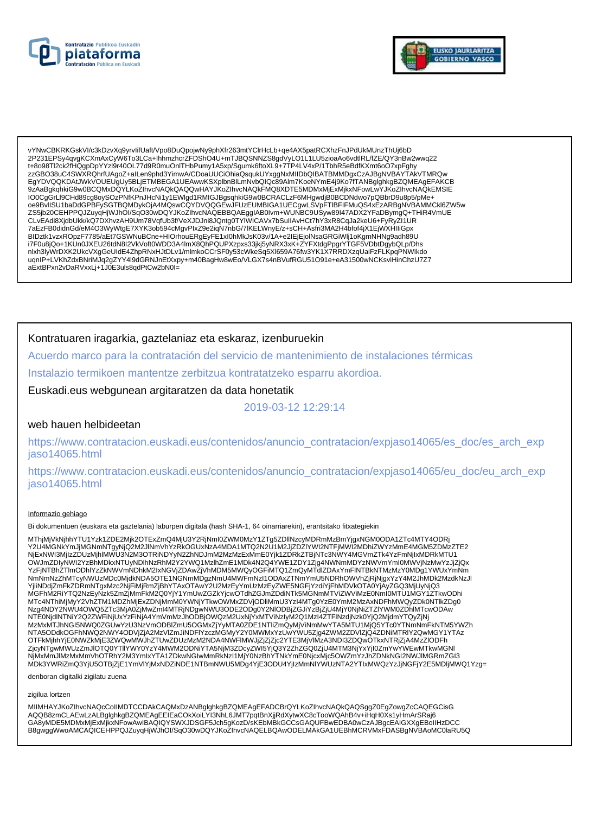



vYNwCBKRKGskVI/c3kDzvXq9yrvlifUaft/Vpo8DuQpojwNy9phXfr263mtYCIrHcLb+qe4AX5patRCXhzFnJPdUkMUnzThUj6bD<br>2P231EPSy4qvgKCXmAxCyW6To3LCa+IhhmzhcrZFDShO4U+mTJBQSNNZS8gdVyLO1L1LU5zioaAo6vdtlRL/fZE/QY3nBw2wwq22 t+8o98Tl2ck2fHQgpDpYYzI9r40OL77d9R0muOnITHbPumy1A5xp/Sgumk6ftoXL9+7TP4LV4xP/1TbhR5eBdfKXmt6oO7xpFghy zzGBO38uC4SWXRQhrfUAgoZ+alLen9phd3YimwA/CDoaUUCiOhiaQsqukUYxggNxMIIDbQIBATBMMDgxCzAJBgNVBAYTAkVTMRQw EgYDVQQKDAtJWkVOUEUgUy5BLjETMBEGA1UEAwwKSXplbnBlLmNvbQlQc89Alm7KoeNYmE4j9Ko7fTANBglghkgBZQMEAgEFAKCB 9zAaBgkqhkiG9w0BCQMxDQYLKoZIhvcNAQkQAQQwHAYJKoZIhvcNAQkFMQ8XDTE5MDMxMjExMjkxNFowLwYJKoZIhvcNAQkEMSIE 100CgGrLl9CHd89cg8oySOzPNfKPnJHcNi1y1EWlgd1RMIGJBgsqhkiG9w0BCRACLzF6MHgwdjB0BCDNdwo7pQBbrD9u8p5/pMe+<br>0e9BvllSU1baDdGPBFySGTBQMDykOjA4MQswCQYDVQQGEwJFUzEUMBIGA1UECgwLSVpFTlBFIFMuQS4xEzARBgNVBAMMCkl6ZW5w 7aEzFB0didnGd/eM4O3WyWtgE7XYK3ob594cMgvPlxZ9e2iqN7nbG/7lKELWnyE/z+sCH+Asfri3MA2H4bfof4jX1EjWXHIliGpx BIDztk1vzxROpzF7785/aEt7GSWNuBCne+HIOrhouERgEyFE1xI0hMkJsK03v/1A+e2lEjEjolNsaGRGiWlj1oKgmNHNg9adh89U i7F0u8jQo+1KUn0JXEU26tdN8I2VkVoft0WDD3A4ImX8QnPQUPXzpxs33jkj5yNRX3xK+ZYFXtdgPpgrYTGF5VDbtDgybQLp/Dhs nlxh3lyWrDXK2UkcVXgGeUldE4ZhpRNxHJtDLv1/mlmkoCCrSF0y53cWkeSq5Xl659A76fw3YK1X7RRDXzqUaiFzFLKpqPNWlkdo uqnIP+LVKhZdxBNriMJq2gZYY4l9dGRNJnEtXxpy+m40BagHw8wEo/VLGX7s4nBVufRGU51O91e+eA31500wNCKsviHinChzU7Z7 aExtBPxn2vDaRVxxLj+1J0E3uls8qdPtCw2bN0I=

## Kontratuaren iragarkia, gaztelaniaz eta eskaraz, izenburuekin

Acuerdo marco para la contratación del servicio de mantenimiento de instalaciones térmicas

Instalazio termikoen mantentze zerbitzua kontratatzeko esparru akordioa.

Euskadi.eus webgunean argitaratzen da data honetatik

2019-03-12 12:29:14

### web hauen helbideetan

https://www.contratacion.euskadi.eus/contenidos/anuncio contratacion/expjaso14065/es doc/es arch exp jaso14065.html

https://www.contratacion.euskadi.eus/contenidos/anuncio\_contratacion/expjaso14065/eu\_doc/eu\_arch\_exp iaso14065.html

#### Informazio gehiago

Bi dokumentuen (euskara eta gaztelania) laburpen digitala (hash SHA-1, 64 oinarriarekin), erantsitako fitxategiekin

MThjMjVkNjhhYTU1Yzk1ZDE2Mjk2OTExZmQ4MjU3Y2RjNml0ZWM0MzY1ZTg5ZDllNzcyMDRmMzBmYjgxNGM0ODA1ZTc4MTY4ODRj Y2U4MGNkYmJjMGNmNTgyNjQ2M2JINmVhYzRkOGUxNzA4MDA1MTQ2N2U1M2JjZDZIYWI2NTFjMWI2MDhiZWYzMmE4MGM5ZDMzZTE2 120-ini umpindi ini yini yini kutoka kutoka kwa kwa kwa kutoka kwa kutoka kwa kutoka kwa kutoka kwa kutoka kwa<br>NjexhWi3MjIzZDUzMjhIMWU3N2M3OTRiNDYyN2ZhNDJmM2MzMzExMmE0Yjk1ZDRkZTBjNTc3NWY4MGVmZTk4YzFmNjlxMDRkMTU1<br>WWmZDIyNWI NmNmNzZhMTcyNWUzMDc0MjdkNDA5OTE1NGNmMDgzNmU4MWFmNzI1ODAxZTNmYmU5NDRhOWVhZjRjNjgxYzY4M2JhMDk2MzdkNzJl YjliNDdjZmFkZDRmNTgxMzc2NjFiMjRmZjBhYTAxOTAwY2U2MzEyYmUzMzEyZWE5NGFjYzdiYjFhMDVkOTA0YjAyZGQ3MjUyNjQ3 MGFhM2RIYTQ2NzEyNzk5ZmZjMmFkM2Q0YjY1YmUwZGZkYjcwOTdhZGJmZDdiNTk5MGNmMTViZWViMzE0NmI0MTU1MGY1ZTkwODhi MTc4NThiMjMyY2VhZTM1MDZhMjExZDNjMmM0YWNjYTkwOWMxZDVjODliMmU3YzI4MTg0YzE0YmM2MzAxNDFhMWQyZDk0NTlkZDg0 www.com/www.com/www.com/www.com/www.com/www.com/www.com/www.com/www.com/www.com/www.com/www.com/www.com/www.com/<br>N2MxMTJhNGI5NWQ0ZGUwYzU3NzVmODBIZmU5OGMxZjYyMTA0ZDE1NTliZmQyMjViNmMwYTA5MTU1MjQ5YTc0YTNmNmFkNTM5YWZh<br>NTA5ODd OTFKMihhYjE0NWZkMjE3ZWQwMWJhZTUwZDUzMzM2NDA4NWFIMWJjZjZjcjc2YTE3MjVIMzA3NDI3ZDQwOTkxNTRjZjA4MzZIODFh ZjcyNTgwMWUzZmJIOTQ0YTIIYWY0YzY4MWM2ODNIYTA5NjM3ZDcyZWI5YjQ3Y2ZhZGQ0ZjU4MTM3NjYxYjI0ZmYwYWEwMTkwMGNI NjMxMmJlMzMxMmVhOTRhY2M3YmlxYTA1ZDkwNGlwMmRkNzl1MjY0NzBhYTNkYmE0NjcxMjc5OWZmYzJhZDNkNGl2NWJlMGRmZGl3 MDk3YWRiZmQ3YjU5OTBjZjE1YmVlYjMxNDZiNDE1NTBmNWU5MDg4YjE3ODU4YjIzMmNlYWUzNTA2YTIxMWQzYzJjNGFjY2E5MDljMWQ1Yzg=

denboran digitalki zigilatu zuena

zigilua lortzen

MIIMHAYJKoZIhvcNAQcCoIIMDTCCDAkCAQMxDzANBglghkgBZQMEAgEFADCBrQYLKoZIhvcNAQkQAQSggZ0EgZowgZcCAQEGCisG AQQB8zmCLAEwLzALBglghkgBZQMEAgEEIEaCOkXoiLYI3NhL6JMT7pqtBnXjjRdXytwXC8cTooWQAhB4v+iHqH0Xs1yHmArSRaj6<br>GA8yMDE5MDMxMjExMjkxNFowAwIBAQIQYSWXJDSGF5Jch5gKozD/sKEbMBkGCCsGAQUFBwEDBA0wCzAJBgcEAIGXXgEBoIIHzDCC B8qwqqWwoAMCAQICEHPPQJZuvqHiWJhOI/SqO30wDQYJKoZIhvcNAQELBQAwODELMAkGA1UEBhMCRVMxFDASBqNVBAoMC0laRU5Q